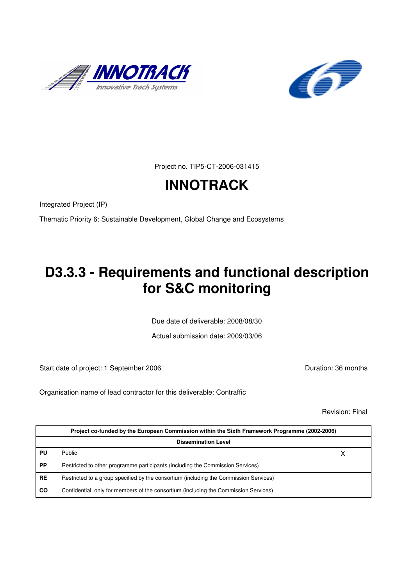



Project no. TIP5-CT-2006-031415

# **INNOTRACK**

Integrated Project (IP)

Thematic Priority 6: Sustainable Development, Global Change and Ecosystems

# **D3.3.3 - Requirements and functional description for S&C monitoring**

Due date of deliverable: 2008/08/30

Actual submission date: 2009/03/06

Start date of project: 1 September 2006 **Duration: 36 months** 

Organisation name of lead contractor for this deliverable: Contraffic

Revision: Final

| Project co-funded by the European Commission within the Sixth Framework Programme (2002-2006)<br><b>Dissemination Level</b> |                                                                                       |  |
|-----------------------------------------------------------------------------------------------------------------------------|---------------------------------------------------------------------------------------|--|
|                                                                                                                             |                                                                                       |  |
| <b>PP</b>                                                                                                                   | Restricted to other programme participants (including the Commission Services)        |  |
| <b>RE</b>                                                                                                                   | Restricted to a group specified by the consortium (including the Commission Services) |  |
| CO                                                                                                                          | Confidential, only for members of the consortium (including the Commission Services)  |  |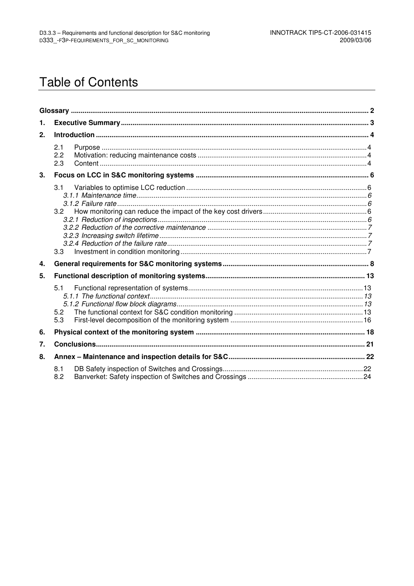# **Table of Contents**

| 1.               |                   |  |
|------------------|-------------------|--|
| 2.               |                   |  |
|                  | 2.1<br>2.2<br>2.3 |  |
| 3.               |                   |  |
|                  | 3.1<br>3.2<br>3.3 |  |
| 4.               |                   |  |
| 5.               |                   |  |
|                  | 5.1<br>5.2<br>5.3 |  |
| 6.               |                   |  |
| $\overline{7}$ . |                   |  |
| 8.               |                   |  |
|                  | 8.1<br>8.2        |  |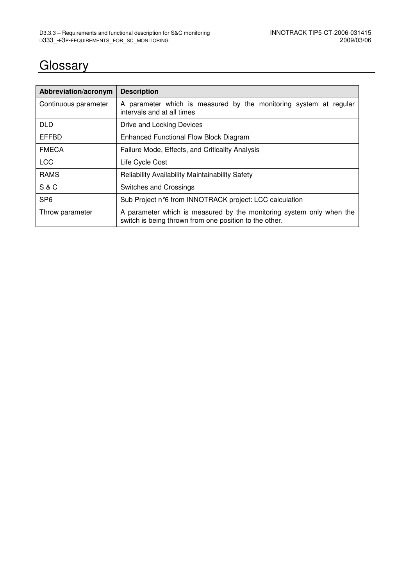# **Glossary**

| Abbreviation/acronym | <b>Description</b>                                                                                                             |
|----------------------|--------------------------------------------------------------------------------------------------------------------------------|
| Continuous parameter | A parameter which is measured by the monitoring system at regular<br>intervals and at all times                                |
| <b>DLD</b>           | Drive and Locking Devices                                                                                                      |
| <b>EFFBD</b>         | <b>Enhanced Functional Flow Block Diagram</b>                                                                                  |
| <b>FMECA</b>         | Failure Mode, Effects, and Criticality Analysis                                                                                |
| <b>LCC</b>           | Life Cycle Cost                                                                                                                |
| <b>RAMS</b>          | Reliability Availability Maintainability Safety                                                                                |
| <b>S&amp;C</b>       | Switches and Crossings                                                                                                         |
| SP <sub>6</sub>      | Sub Project n°6 from INNOTRACK project: LCC calculation                                                                        |
| Throw parameter      | A parameter which is measured by the monitoring system only when the<br>switch is being thrown from one position to the other. |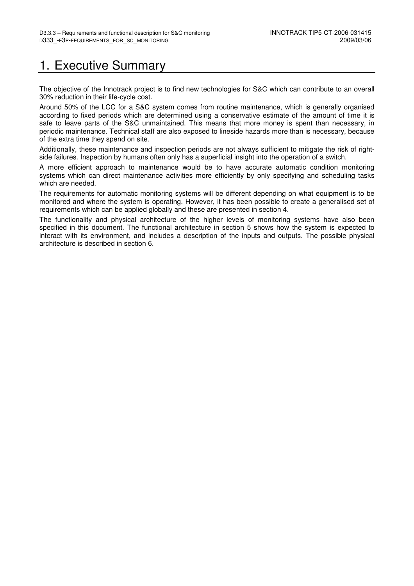## 1. Executive Summary

The objective of the Innotrack project is to find new technologies for S&C which can contribute to an overall 30% reduction in their life-cycle cost.

Around 50% of the LCC for a S&C system comes from routine maintenance, which is generally organised according to fixed periods which are determined using a conservative estimate of the amount of time it is safe to leave parts of the S&C unmaintained. This means that more money is spent than necessary, in periodic maintenance. Technical staff are also exposed to lineside hazards more than is necessary, because of the extra time they spend on site.

Additionally, these maintenance and inspection periods are not always sufficient to mitigate the risk of rightside failures. Inspection by humans often only has a superficial insight into the operation of a switch.

A more efficient approach to maintenance would be to have accurate automatic condition monitoring systems which can direct maintenance activities more efficiently by only specifying and scheduling tasks which are needed.

The requirements for automatic monitoring systems will be different depending on what equipment is to be monitored and where the system is operating. However, it has been possible to create a generalised set of requirements which can be applied globally and these are presented in section 4.

The functionality and physical architecture of the higher levels of monitoring systems have also been specified in this document. The functional architecture in section 5 shows how the system is expected to interact with its environment, and includes a description of the inputs and outputs. The possible physical architecture is described in section 6.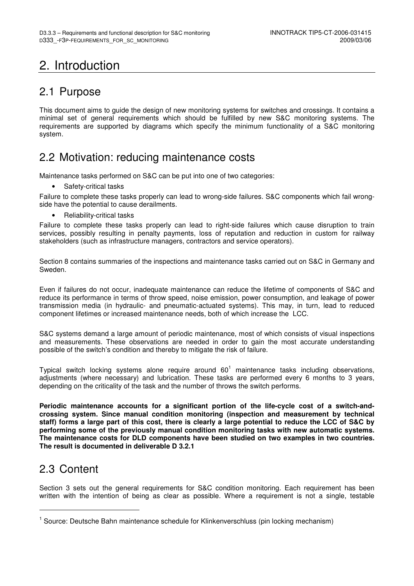# 2. Introduction

## 2.1 Purpose

This document aims to guide the design of new monitoring systems for switches and crossings. It contains a minimal set of general requirements which should be fulfilled by new S&C monitoring systems. The requirements are supported by diagrams which specify the minimum functionality of a S&C monitoring system.

### 2.2 Motivation: reducing maintenance costs

Maintenance tasks performed on S&C can be put into one of two categories:

Safety-critical tasks

Failure to complete these tasks properly can lead to wrong-side failures. S&C components which fail wrongside have the potential to cause derailments.

• Reliability-critical tasks

Failure to complete these tasks properly can lead to right-side failures which cause disruption to train services, possibly resulting in penalty payments, loss of reputation and reduction in custom for railway stakeholders (such as infrastructure managers, contractors and service operators).

Section 8 contains summaries of the inspections and maintenance tasks carried out on S&C in Germany and Sweden.

Even if failures do not occur, inadequate maintenance can reduce the lifetime of components of S&C and reduce its performance in terms of throw speed, noise emission, power consumption, and leakage of power transmission media (in hydraulic- and pneumatic-actuated systems). This may, in turn, lead to reduced component lifetimes or increased maintenance needs, both of which increase the LCC.

S&C systems demand a large amount of periodic maintenance, most of which consists of visual inspections and measurements. These observations are needed in order to gain the most accurate understanding possible of the switch's condition and thereby to mitigate the risk of failure.

Typical switch locking systems alone require around 60<sup>1</sup> maintenance tasks including observations, adjustments (where necessary) and lubrication. These tasks are performed every 6 months to 3 years, depending on the criticality of the task and the number of throws the switch performs.

**Periodic maintenance accounts for a significant portion of the life-cycle cost of a switch-andcrossing system. Since manual condition monitoring (inspection and measurement by technical staff) forms a large part of this cost, there is clearly a large potential to reduce the LCC of S&C by performing some of the previously manual condition monitoring tasks with new automatic systems. The maintenance costs for DLD components have been studied on two examples in two countries. The result is documented in deliverable D 3.2.1** 

### 2.3 Content

j

Section 3 sets out the general requirements for S&C condition monitoring. Each requirement has been written with the intention of being as clear as possible. Where a requirement is not a single, testable

<sup>&</sup>lt;sup>1</sup> Source: Deutsche Bahn maintenance schedule for Klinkenverschluss (pin locking mechanism)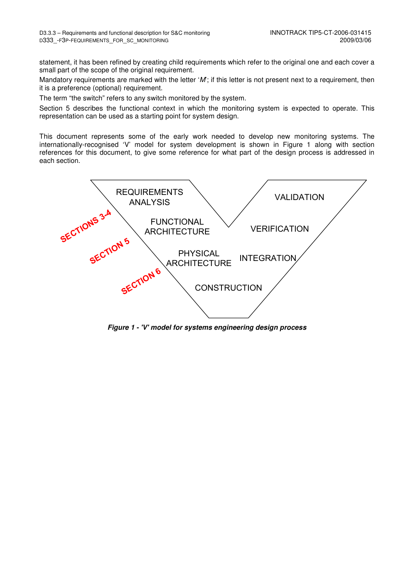statement, it has been refined by creating child requirements which refer to the original one and each cover a small part of the scope of the original requirement.

Mandatory requirements are marked with the letter 'M'; if this letter is not present next to a requirement, then it is a preference (optional) requirement.

The term "the switch" refers to any switch monitored by the system.

Section 5 describes the functional context in which the monitoring system is expected to operate. This representation can be used as a starting point for system design.

This document represents some of the early work needed to develop new monitoring systems. The internationally-recognised 'V' model for system development is shown in Figure 1 along with section references for this document, to give some reference for what part of the design process is addressed in each section.



**Figure 1 - 'V' model for systems engineering design process**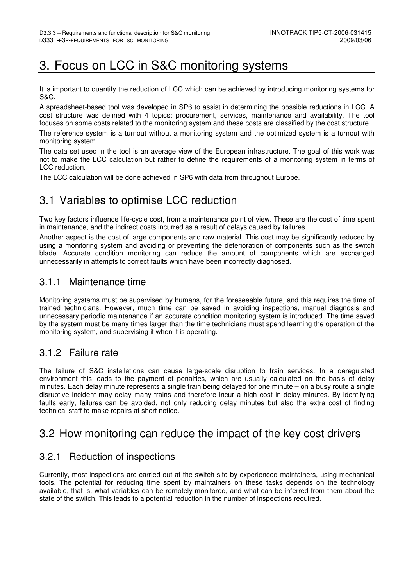# 3. Focus on LCC in S&C monitoring systems

It is important to quantify the reduction of LCC which can be achieved by introducing monitoring systems for S&C.

A spreadsheet-based tool was developed in SP6 to assist in determining the possible reductions in LCC. A cost structure was defined with 4 topics: procurement, services, maintenance and availability. The tool focuses on some costs related to the monitoring system and these costs are classified by the cost structure.

The reference system is a turnout without a monitoring system and the optimized system is a turnout with monitoring system.

The data set used in the tool is an average view of the European infrastructure. The goal of this work was not to make the LCC calculation but rather to define the requirements of a monitoring system in terms of LCC reduction.

The LCC calculation will be done achieved in SP6 with data from throughout Europe.

## 3.1 Variables to optimise LCC reduction

Two key factors influence life-cycle cost, from a maintenance point of view. These are the cost of time spent in maintenance, and the indirect costs incurred as a result of delays caused by failures.

Another aspect is the cost of large components and raw material. This cost may be significantly reduced by using a monitoring system and avoiding or preventing the deterioration of components such as the switch blade. Accurate condition monitoring can reduce the amount of components which are exchanged unnecessarily in attempts to correct faults which have been incorrectly diagnosed.

### 3.1.1 Maintenance time

Monitoring systems must be supervised by humans, for the foreseeable future, and this requires the time of trained technicians. However, much time can be saved in avoiding inspections, manual diagnosis and unnecessary periodic maintenance if an accurate condition monitoring system is introduced. The time saved by the system must be many times larger than the time technicians must spend learning the operation of the monitoring system, and supervising it when it is operating.

### 3.1.2 Failure rate

The failure of S&C installations can cause large-scale disruption to train services. In a deregulated environment this leads to the payment of penalties, which are usually calculated on the basis of delay minutes. Each delay minute represents a single train being delayed for one minute – on a busy route a single disruptive incident may delay many trains and therefore incur a high cost in delay minutes. By identifying faults early, failures can be avoided, not only reducing delay minutes but also the extra cost of finding technical staff to make repairs at short notice.

### 3.2 How monitoring can reduce the impact of the key cost drivers

### 3.2.1 Reduction of inspections

Currently, most inspections are carried out at the switch site by experienced maintainers, using mechanical tools. The potential for reducing time spent by maintainers on these tasks depends on the technology available, that is, what variables can be remotely monitored, and what can be inferred from them about the state of the switch. This leads to a potential reduction in the number of inspections required.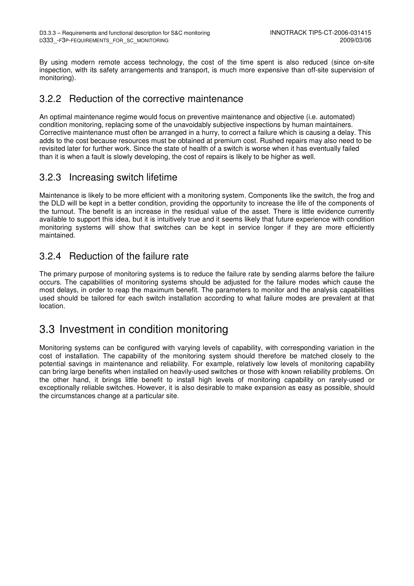By using modern remote access technology, the cost of the time spent is also reduced (since on-site inspection, with its safety arrangements and transport, is much more expensive than off-site supervision of monitoring).

### 3.2.2 Reduction of the corrective maintenance

An optimal maintenance regime would focus on preventive maintenance and objective (i.e. automated) condition monitoring, replacing some of the unavoidably subjective inspections by human maintainers. Corrective maintenance must often be arranged in a hurry, to correct a failure which is causing a delay. This adds to the cost because resources must be obtained at premium cost. Rushed repairs may also need to be revisited later for further work. Since the state of health of a switch is worse when it has eventually failed than it is when a fault is slowly developing, the cost of repairs is likely to be higher as well.

### 3.2.3 Increasing switch lifetime

Maintenance is likely to be more efficient with a monitoring system. Components like the switch, the frog and the DLD will be kept in a better condition, providing the opportunity to increase the life of the components of the turnout. The benefit is an increase in the residual value of the asset. There is little evidence currently available to support this idea, but it is intuitively true and it seems likely that future experience with condition monitoring systems will show that switches can be kept in service longer if they are more efficiently maintained.

### 3.2.4 Reduction of the failure rate

The primary purpose of monitoring systems is to reduce the failure rate by sending alarms before the failure occurs. The capabilities of monitoring systems should be adjusted for the failure modes which cause the most delays, in order to reap the maximum benefit. The parameters to monitor and the analysis capabilities used should be tailored for each switch installation according to what failure modes are prevalent at that location.

### 3.3 Investment in condition monitoring

Monitoring systems can be configured with varying levels of capability, with corresponding variation in the cost of installation. The capability of the monitoring system should therefore be matched closely to the potential savings in maintenance and reliability. For example, relatively low levels of monitoring capability can bring large benefits when installed on heavily-used switches or those with known reliability problems. On the other hand, it brings little benefit to install high levels of monitoring capability on rarely-used or exceptionally reliable switches. However, it is also desirable to make expansion as easy as possible, should the circumstances change at a particular site.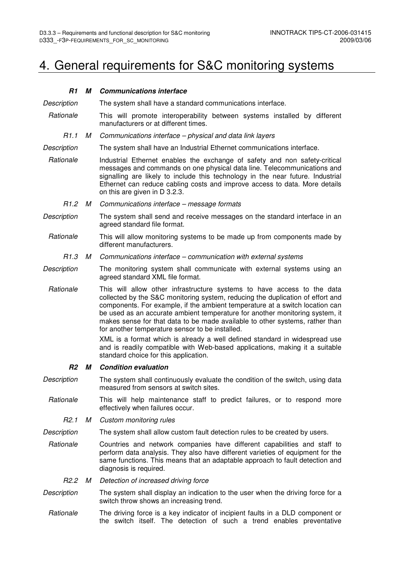# 4. General requirements for S&C monitoring systems

| R1               | М | <b>Communications interface</b>                                                                                                                                                                                                                                                                                                                                                                                                                                                                                                            |  |
|------------------|---|--------------------------------------------------------------------------------------------------------------------------------------------------------------------------------------------------------------------------------------------------------------------------------------------------------------------------------------------------------------------------------------------------------------------------------------------------------------------------------------------------------------------------------------------|--|
| Description      |   | The system shall have a standard communications interface.                                                                                                                                                                                                                                                                                                                                                                                                                                                                                 |  |
| Rationale        |   | This will promote interoperability between systems installed by different<br>manufacturers or at different times.                                                                                                                                                                                                                                                                                                                                                                                                                          |  |
| R <sub>1.1</sub> | М | Communications interface - physical and data link layers                                                                                                                                                                                                                                                                                                                                                                                                                                                                                   |  |
| Description      |   | The system shall have an Industrial Ethernet communications interface.                                                                                                                                                                                                                                                                                                                                                                                                                                                                     |  |
| Rationale        |   | Industrial Ethernet enables the exchange of safety and non safety-critical<br>messages and commands on one physical data line. Telecommunications and<br>signalling are likely to include this technology in the near future. Industrial<br>Ethernet can reduce cabling costs and improve access to data. More details<br>on this are given in D 3.2.3.                                                                                                                                                                                    |  |
| R <sub>1.2</sub> | M | Communications interface - message formats                                                                                                                                                                                                                                                                                                                                                                                                                                                                                                 |  |
| Description      |   | The system shall send and receive messages on the standard interface in an<br>agreed standard file format.                                                                                                                                                                                                                                                                                                                                                                                                                                 |  |
| Rationale        |   | This will allow monitoring systems to be made up from components made by<br>different manufacturers.                                                                                                                                                                                                                                                                                                                                                                                                                                       |  |
| R1.3             | М | Communications interface - communication with external systems                                                                                                                                                                                                                                                                                                                                                                                                                                                                             |  |
| Description      |   | The monitoring system shall communicate with external systems using an<br>agreed standard XML file format.                                                                                                                                                                                                                                                                                                                                                                                                                                 |  |
| Rationale        |   | This will allow other infrastructure systems to have access to the data<br>collected by the S&C monitoring system, reducing the duplication of effort and<br>components. For example, if the ambient temperature at a switch location can<br>be used as an accurate ambient temperature for another monitoring system, it<br>makes sense for that data to be made available to other systems, rather than<br>for another temperature sensor to be installed.<br>XML is a format which is already a well defined standard in widespread use |  |
|                  |   | and is readily compatible with Web-based applications, making it a suitable<br>standard choice for this application.                                                                                                                                                                                                                                                                                                                                                                                                                       |  |
| <b>R2</b>        | М | <b>Condition evaluation</b>                                                                                                                                                                                                                                                                                                                                                                                                                                                                                                                |  |
| Description      |   | The system shall continuously evaluate the condition of the switch, using data<br>measured from sensors at switch sites.                                                                                                                                                                                                                                                                                                                                                                                                                   |  |
| Rationale        |   | This will help maintenance staff to predict failures, or to respond more<br>effectively when failures occur.                                                                                                                                                                                                                                                                                                                                                                                                                               |  |
| R <sub>2.1</sub> | М | Custom monitoring rules                                                                                                                                                                                                                                                                                                                                                                                                                                                                                                                    |  |
| Description      |   | The system shall allow custom fault detection rules to be created by users.                                                                                                                                                                                                                                                                                                                                                                                                                                                                |  |
| Rationale        |   | Countries and network companies have different capabilities and staff to<br>perform data analysis. They also have different varieties of equipment for the<br>same functions. This means that an adaptable approach to fault detection and<br>diagnosis is required.                                                                                                                                                                                                                                                                       |  |
| R2.2             | М | Detection of increased driving force                                                                                                                                                                                                                                                                                                                                                                                                                                                                                                       |  |
| Description      |   | The system shall display an indication to the user when the driving force for a<br>switch throw shows an increasing trend.                                                                                                                                                                                                                                                                                                                                                                                                                 |  |
| Rationale        |   | The driving force is a key indicator of incipient faults in a DLD component or<br>the switch itself. The detection of such a trend enables preventative                                                                                                                                                                                                                                                                                                                                                                                    |  |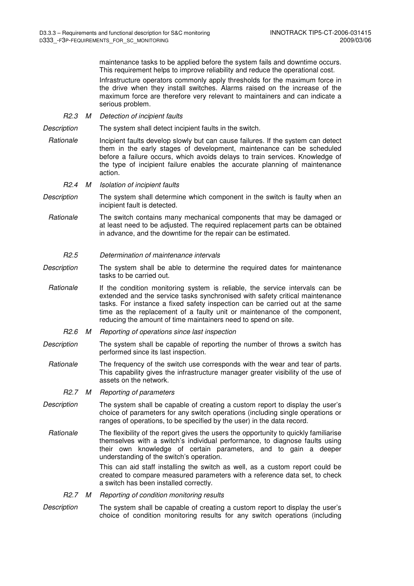maintenance tasks to be applied before the system fails and downtime occurs. This requirement helps to improve reliability and reduce the operational cost.

Infrastructure operators commonly apply thresholds for the maximum force in the drive when they install switches. Alarms raised on the increase of the maximum force are therefore very relevant to maintainers and can indicate a serious problem.

R2.3 M Detection of incipient faults

Description The system shall detect incipient faults in the switch.

- Rationale Incipient faults develop slowly but can cause failures. If the system can detect them in the early stages of development, maintenance can be scheduled before a failure occurs, which avoids delays to train services. Knowledge of the type of incipient failure enables the accurate planning of maintenance action.
	- R2.4 M Isolation of incipient faults
- Description The system shall determine which component in the switch is faulty when an incipient fault is detected.
- Rationale The switch contains many mechanical components that may be damaged or at least need to be adjusted. The required replacement parts can be obtained in advance, and the downtime for the repair can be estimated.

### R2.5 Determination of maintenance intervals

- Description The system shall be able to determine the required dates for maintenance tasks to be carried out.
	- Rationale If the condition monitoring system is reliable, the service intervals can be extended and the service tasks synchronised with safety critical maintenance tasks. For instance a fixed safety inspection can be carried out at the same time as the replacement of a faulty unit or maintenance of the component, reducing the amount of time maintainers need to spend on site.
		- R2.6 M Reporting of operations since last inspection
- Description The system shall be capable of reporting the number of throws a switch has performed since its last inspection.
- Rationale The frequency of the switch use corresponds with the wear and tear of parts. This capability gives the infrastructure manager greater visibility of the use of assets on the network.
	- R2.7 M Reporting of parameters
- Description The system shall be capable of creating a custom report to display the user's choice of parameters for any switch operations (including single operations or ranges of operations, to be specified by the user) in the data record.
- Rationale The flexibility of the report gives the users the opportunity to quickly familiarise themselves with a switch's individual performance, to diagnose faults using their own knowledge of certain parameters, and to gain a deeper understanding of the switch's operation.

This can aid staff installing the switch as well, as a custom report could be created to compare measured parameters with a reference data set, to check a switch has been installed correctly.

#### R2.7 M Reporting of condition monitoring results

Description The system shall be capable of creating a custom report to display the user's choice of condition monitoring results for any switch operations (including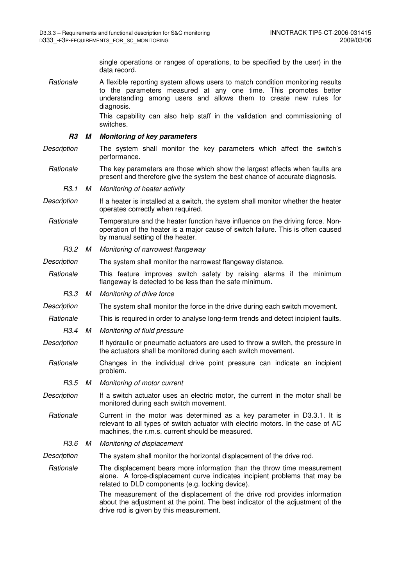single operations or ranges of operations, to be specified by the user) in the data record.

Rationale A flexible reporting system allows users to match condition monitoring results to the parameters measured at any one time. This promotes better understanding among users and allows them to create new rules for diagnosis.

> This capability can also help staff in the validation and commissioning of switches.

#### **R3 M Monitoring of key parameters**

- Description The system shall monitor the key parameters which affect the switch's performance.
- Rationale The key parameters are those which show the largest effects when faults are present and therefore give the system the best chance of accurate diagnosis.
	- R3.1 M Monitoring of heater activity
- Description If a heater is installed at a switch, the system shall monitor whether the heater operates correctly when required.
- Rationale Temperature and the heater function have influence on the driving force. Nonoperation of the heater is a major cause of switch failure. This is often caused by manual setting of the heater.
	- R3.2 M Monitoring of narrowest flangeway
- Description The system shall monitor the narrowest flangeway distance.
- Rationale This feature improves switch safety by raising alarms if the minimum flangeway is detected to be less than the safe minimum.
- R3.3 M Monitoring of drive force
- Description The system shall monitor the force in the drive during each switch movement.
- Rationale This is required in order to analyse long-term trends and detect incipient faults.
	- R3.4 M Monitoring of fluid pressure
- Description If hydraulic or pneumatic actuators are used to throw a switch, the pressure in the actuators shall be monitored during each switch movement.
- Rationale Changes in the individual drive point pressure can indicate an incipient problem.
	- R3.5 M Monitoring of motor current
- Description If a switch actuator uses an electric motor, the current in the motor shall be monitored during each switch movement.
	- Rationale Current in the motor was determined as a key parameter in D3.3.1. It is relevant to all types of switch actuator with electric motors. In the case of AC machines, the r.m.s. current should be measured.
	- R3.6 M Monitoring of displacement
- Description The system shall monitor the horizontal displacement of the drive rod.
- Rationale The displacement bears more information than the throw time measurement alone. A force-displacement curve indicates incipient problems that may be related to DLD components (e.g. locking device).
	- The measurement of the displacement of the drive rod provides information about the adjustment at the point. The best indicator of the adjustment of the drive rod is given by this measurement.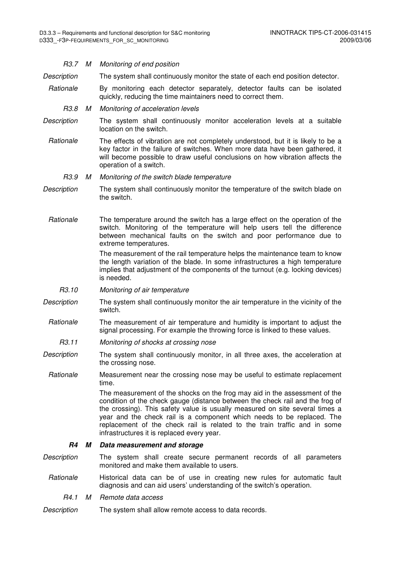| R3.7 M             |   | Monitoring of end position                                                                                                                                                                                                                                                                                                                                                                                                                       |
|--------------------|---|--------------------------------------------------------------------------------------------------------------------------------------------------------------------------------------------------------------------------------------------------------------------------------------------------------------------------------------------------------------------------------------------------------------------------------------------------|
| Description        |   | The system shall continuously monitor the state of each end position detector.                                                                                                                                                                                                                                                                                                                                                                   |
| Rationale          |   | By monitoring each detector separately, detector faults can be isolated<br>quickly, reducing the time maintainers need to correct them.                                                                                                                                                                                                                                                                                                          |
| R3.8               | М | Monitoring of acceleration levels                                                                                                                                                                                                                                                                                                                                                                                                                |
| Description        |   | The system shall continuously monitor acceleration levels at a suitable<br>location on the switch.                                                                                                                                                                                                                                                                                                                                               |
| Rationale          |   | The effects of vibration are not completely understood, but it is likely to be a<br>key factor in the failure of switches. When more data have been gathered, it<br>will become possible to draw useful conclusions on how vibration affects the<br>operation of a switch.                                                                                                                                                                       |
| R3.9               | М | Monitoring of the switch blade temperature                                                                                                                                                                                                                                                                                                                                                                                                       |
| Description        |   | The system shall continuously monitor the temperature of the switch blade on<br>the switch.                                                                                                                                                                                                                                                                                                                                                      |
| Rationale          |   | The temperature around the switch has a large effect on the operation of the<br>switch. Monitoring of the temperature will help users tell the difference<br>between mechanical faults on the switch and poor performance due to<br>extreme temperatures.                                                                                                                                                                                        |
|                    |   | The measurement of the rail temperature helps the maintenance team to know<br>the length variation of the blade. In some infrastructures a high temperature<br>implies that adjustment of the components of the turnout (e.g. locking devices)<br>is needed.                                                                                                                                                                                     |
| R <sub>3</sub> .10 |   | Monitoring of air temperature                                                                                                                                                                                                                                                                                                                                                                                                                    |
| Description        |   | The system shall continuously monitor the air temperature in the vicinity of the<br>switch.                                                                                                                                                                                                                                                                                                                                                      |
| Rationale          |   | The measurement of air temperature and humidity is important to adjust the<br>signal processing. For example the throwing force is linked to these values.                                                                                                                                                                                                                                                                                       |
| R3.11              |   | Monitoring of shocks at crossing nose                                                                                                                                                                                                                                                                                                                                                                                                            |
| Description        |   | The system shall continuously monitor, in all three axes, the acceleration at<br>the crossing nose.                                                                                                                                                                                                                                                                                                                                              |
| Rationale          |   | Measurement near the crossing nose may be useful to estimate replacement<br>time.                                                                                                                                                                                                                                                                                                                                                                |
|                    |   | The measurement of the shocks on the frog may aid in the assessment of the<br>condition of the check gauge (distance between the check rail and the frog of<br>the crossing). This safety value is usually measured on site several times a<br>year and the check rail is a component which needs to be replaced. The<br>replacement of the check rail is related to the train traffic and in some<br>infrastructures it is replaced every year. |
| R4                 | М | Data measurement and storage                                                                                                                                                                                                                                                                                                                                                                                                                     |
| Description        |   | The system shall create secure permanent records of all parameters<br>monitored and make them available to users.                                                                                                                                                                                                                                                                                                                                |
| Rationale          |   | Historical data can be of use in creating new rules for automatic fault<br>diagnosis and can aid users' understanding of the switch's operation.                                                                                                                                                                                                                                                                                                 |
| R4.1               | М | Remote data access                                                                                                                                                                                                                                                                                                                                                                                                                               |
| Description        |   | The system shall allow remote access to data records.                                                                                                                                                                                                                                                                                                                                                                                            |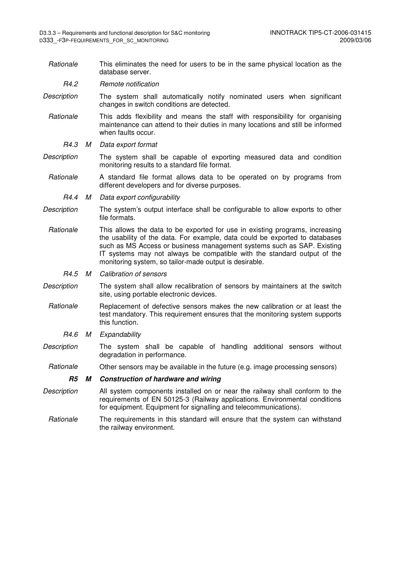Rationale This eliminates the need for users to be in the same physical location as the database server.

R4.2 Remote notification

- Description The system shall automatically notify nominated users when significant changes in switch conditions are detected.
- Rationale This adds flexibility and means the staff with responsibility for organising maintenance can attend to their duties in many locations and still be informed when faults occur.
	- R4.3 M Data export format
- Description The system shall be capable of exporting measured data and condition monitoring results to a standard file format.
- Rationale A standard file format allows data to be operated on by programs from different developers and for diverse purposes.
	- R4.4 M Data export configurability
- Description The system's output interface shall be configurable to allow exports to other file formats.
- Rationale This allows the data to be exported for use in existing programs, increasing the usability of the data. For example, data could be exported to databases such as MS Access or business management systems such as SAP. Existing IT systems may not always be compatible with the standard output of the monitoring system, so tailor-made output is desirable.
	- R4.5 M Calibration of sensors
- Description The system shall allow recalibration of sensors by maintainers at the switch site, using portable electronic devices.
	- Rationale Replacement of defective sensors makes the new calibration or at least the test mandatory. This requirement ensures that the monitoring system supports this function.
		- R4.6 M Expandability
- Description The system shall be capable of handling additional sensors without degradation in performance.
- Rationale Other sensors may be available in the future (e.g. image processing sensors)

#### **R5 M Construction of hardware and wiring**

- Description All system components installed on or near the railway shall conform to the requirements of EN 50125-3 (Railway applications. Environmental conditions for equipment. Equipment for signalling and telecommunications).
- Rationale The requirements in this standard will ensure that the system can withstand the railway environment.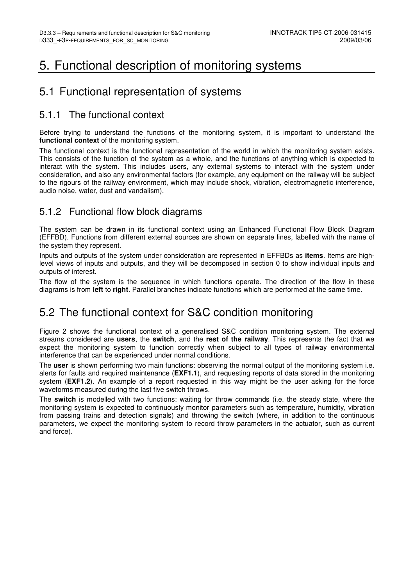## 5. Functional description of monitoring systems

## 5.1 Functional representation of systems

### 5.1.1 The functional context

Before trying to understand the functions of the monitoring system, it is important to understand the **functional context** of the monitoring system.

The functional context is the functional representation of the world in which the monitoring system exists. This consists of the function of the system as a whole, and the functions of anything which is expected to interact with the system. This includes users, any external systems to interact with the system under consideration, and also any environmental factors (for example, any equipment on the railway will be subject to the rigours of the railway environment, which may include shock, vibration, electromagnetic interference, audio noise, water, dust and vandalism).

### 5.1.2 Functional flow block diagrams

The system can be drawn in its functional context using an Enhanced Functional Flow Block Diagram (EFFBD). Functions from different external sources are shown on separate lines, labelled with the name of the system they represent.

Inputs and outputs of the system under consideration are represented in EFFBDs as **items**. Items are highlevel views of inputs and outputs, and they will be decomposed in section 0 to show individual inputs and outputs of interest.

The flow of the system is the sequence in which functions operate. The direction of the flow in these diagrams is from **left** to **right**. Parallel branches indicate functions which are performed at the same time.

## 5.2 The functional context for S&C condition monitoring

Figure 2 shows the functional context of a generalised S&C condition monitoring system. The external streams considered are **users**, the **switch**, and the **rest of the railway**. This represents the fact that we expect the monitoring system to function correctly when subject to all types of railway environmental interference that can be experienced under normal conditions.

The **user** is shown performing two main functions: observing the normal output of the monitoring system i.e. alerts for faults and required maintenance (**EXF1.1**), and requesting reports of data stored in the monitoring system (**EXF1.2**). An example of a report requested in this way might be the user asking for the force waveforms measured during the last five switch throws.

The **switch** is modelled with two functions: waiting for throw commands (i.e. the steady state, where the monitoring system is expected to continuously monitor parameters such as temperature, humidity, vibration from passing trains and detection signals) and throwing the switch (where, in addition to the continuous parameters, we expect the monitoring system to record throw parameters in the actuator, such as current and force).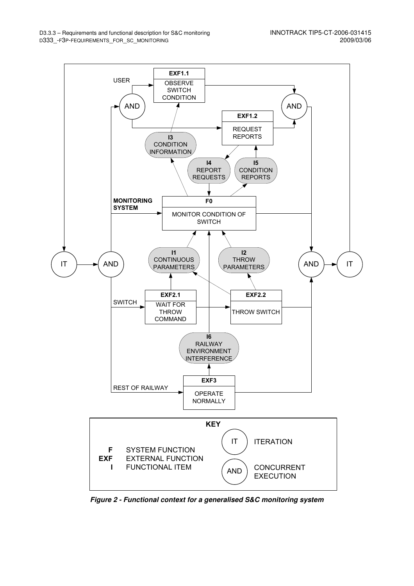

**Figure 2 - Functional context for a generalised S&C monitoring system**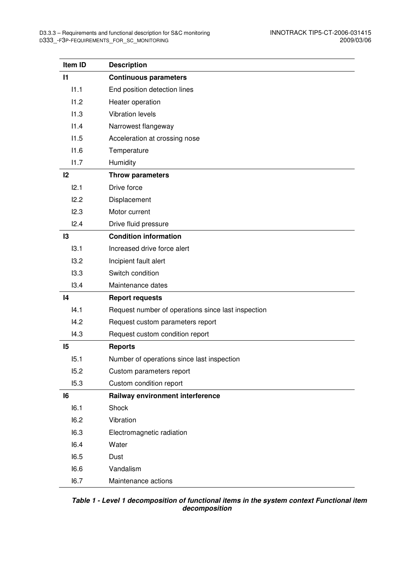| Item ID      | <b>Description</b>                                 |
|--------------|----------------------------------------------------|
| $\mathbf{I}$ | <b>Continuous parameters</b>                       |
| 11.1         | End position detection lines                       |
| 11.2         | Heater operation                                   |
| 11.3         | <b>Vibration levels</b>                            |
| 11.4         | Narrowest flangeway                                |
| 11.5         | Acceleration at crossing nose                      |
| 11.6         | Temperature                                        |
| 11.7         | Humidity                                           |
| 12           | <b>Throw parameters</b>                            |
| 12.1         | Drive force                                        |
| 12.2         | Displacement                                       |
| 12.3         | Motor current                                      |
| 12.4         | Drive fluid pressure                               |
| 13           | <b>Condition information</b>                       |
| 13.1         | Increased drive force alert                        |
| 13.2         | Incipient fault alert                              |
| 13.3         | Switch condition                                   |
| 13.4         | Maintenance dates                                  |
| 14           | <b>Report requests</b>                             |
| 4.1          | Request number of operations since last inspection |
| 14.2         | Request custom parameters report                   |
| 14.3         | Request custom condition report                    |
| 15           | <b>Reports</b>                                     |
| 15.1         | Number of operations since last inspection         |
| 15.2         | Custom parameters report                           |
| 15.3         | Custom condition report                            |
| 16           | Railway environment interference                   |
| 16.1         | Shock                                              |
| 16.2         | Vibration                                          |
| 16.3         | Electromagnetic radiation                          |
| 16.4         | Water                                              |
| 16.5         | Dust                                               |
| 16.6         | Vandalism                                          |
| 16.7         | Maintenance actions                                |

 **Table 1 - Level 1 decomposition of functional items in the system context Functional item decomposition**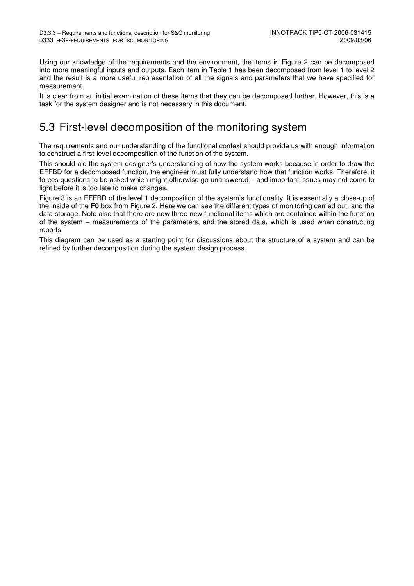Using our knowledge of the requirements and the environment, the items in Figure 2 can be decomposed into more meaningful inputs and outputs. Each item in Table 1 has been decomposed from level 1 to level 2 and the result is a more useful representation of all the signals and parameters that we have specified for measurement.

It is clear from an initial examination of these items that they can be decomposed further. However, this is a task for the system designer and is not necessary in this document.

## 5.3 First-level decomposition of the monitoring system

The requirements and our understanding of the functional context should provide us with enough information to construct a first-level decomposition of the function of the system.

This should aid the system designer's understanding of how the system works because in order to draw the EFFBD for a decomposed function, the engineer must fully understand how that function works. Therefore, it forces questions to be asked which might otherwise go unanswered – and important issues may not come to light before it is too late to make changes.

Figure 3 is an EFFBD of the level 1 decomposition of the system's functionality. It is essentially a close-up of the inside of the **F0** box from Figure 2. Here we can see the different types of monitoring carried out, and the data storage. Note also that there are now three new functional items which are contained within the function of the system – measurements of the parameters, and the stored data, which is used when constructing reports.

This diagram can be used as a starting point for discussions about the structure of a system and can be refined by further decomposition during the system design process.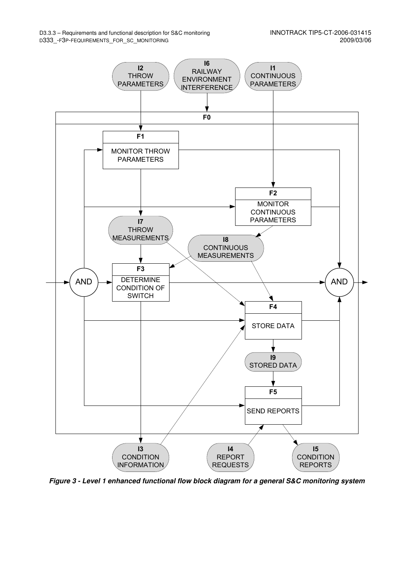

**Figure 3 - Level 1 enhanced functional flow block diagram for a general S&C monitoring system**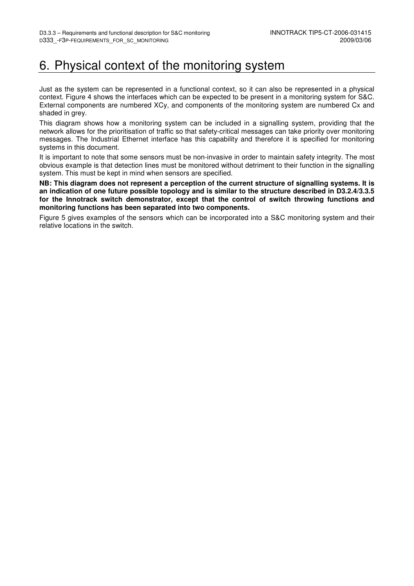## 6. Physical context of the monitoring system

Just as the system can be represented in a functional context, so it can also be represented in a physical context. Figure 4 shows the interfaces which can be expected to be present in a monitoring system for S&C. External components are numbered XCy, and components of the monitoring system are numbered Cx and shaded in grey.

This diagram shows how a monitoring system can be included in a signalling system, providing that the network allows for the prioritisation of traffic so that safety-critical messages can take priority over monitoring messages. The Industrial Ethernet interface has this capability and therefore it is specified for monitoring systems in this document.

It is important to note that some sensors must be non-invasive in order to maintain safety integrity. The most obvious example is that detection lines must be monitored without detriment to their function in the signalling system. This must be kept in mind when sensors are specified.

**NB: This diagram does not represent a perception of the current structure of signalling systems. It is an indication of one future possible topology and is similar to the structure described in D3.2.4/3.3.5 for the Innotrack switch demonstrator, except that the control of switch throwing functions and monitoring functions has been separated into two components.** 

Figure 5 gives examples of the sensors which can be incorporated into a S&C monitoring system and their relative locations in the switch.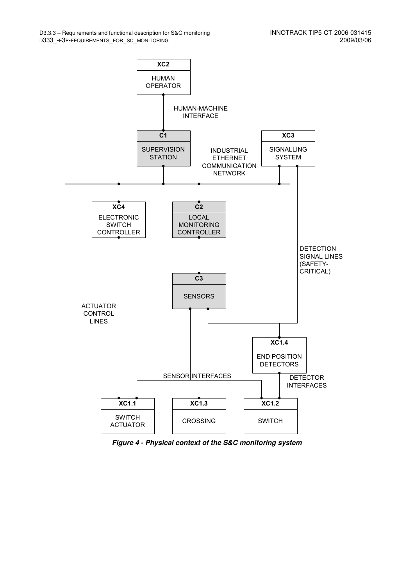

**Figure 4 - Physical context of the S&C monitoring system**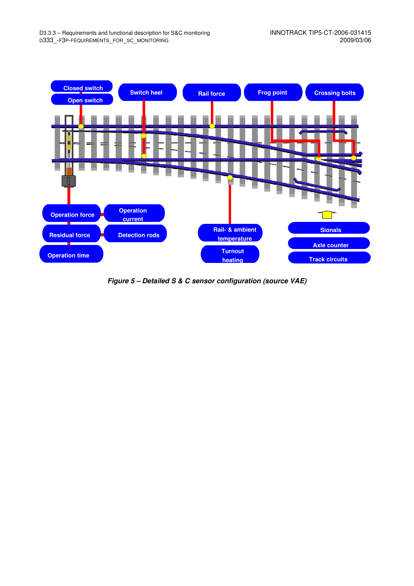

**Figure 5 – Detailed S & C sensor configuration (source VAE)**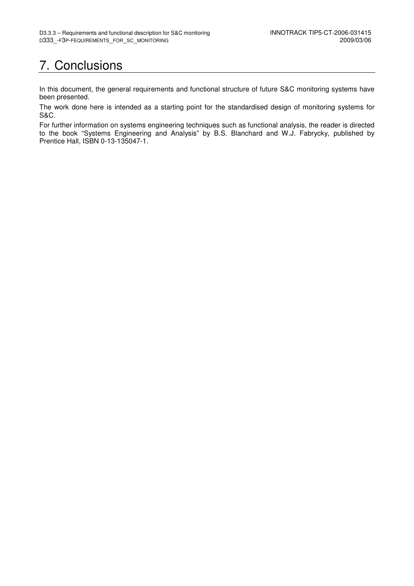# 7. Conclusions

In this document, the general requirements and functional structure of future S&C monitoring systems have been presented.

The work done here is intended as a starting point for the standardised design of monitoring systems for S&C.

For further information on systems engineering techniques such as functional analysis, the reader is directed to the book "Systems Engineering and Analysis" by B.S. Blanchard and W.J. Fabrycky, published by Prentice Hall, ISBN 0-13-135047-1.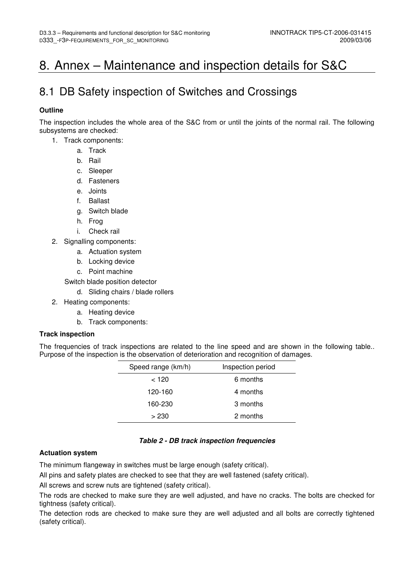## 8. Annex – Maintenance and inspection details for S&C

## 8.1 DB Safety inspection of Switches and Crossings

### **Outline**

The inspection includes the whole area of the S&C from or until the joints of the normal rail. The following subsystems are checked:

- 1. Track components:
	- a. Track
	- b. Rail
	- c. Sleeper
	- d. Fasteners
	- e. Joints
	- f. Ballast
	- g. Switch blade
	- h. Frog
	- i. Check rail
- 2. Signalling components:
	- a. Actuation system
	- b. Locking device
	- c. Point machine

Switch blade position detector

- d. Sliding chairs / blade rollers
- 2. Heating components:
	- a. Heating device
	- b. Track components:

### **Track inspection**

The frequencies of track inspections are related to the line speed and are shown in the following table.. Purpose of the inspection is the observation of deterioration and recognition of damages.

| Speed range (km/h) | Inspection period |
|--------------------|-------------------|
| < 120              | 6 months          |
| 120-160            | 4 months          |
| 160-230            | 3 months          |
| >230               | 2 months          |

### **Table 2 - DB track inspection frequencies**

### **Actuation system**

The minimum flangeway in switches must be large enough (safety critical).

All pins and safety plates are checked to see that they are well fastened (safety critical).

All screws and screw nuts are tightened (safety critical).

The rods are checked to make sure they are well adjusted, and have no cracks. The bolts are checked for tightness (safety critical).

The detection rods are checked to make sure they are well adjusted and all bolts are correctly tightened (safety critical).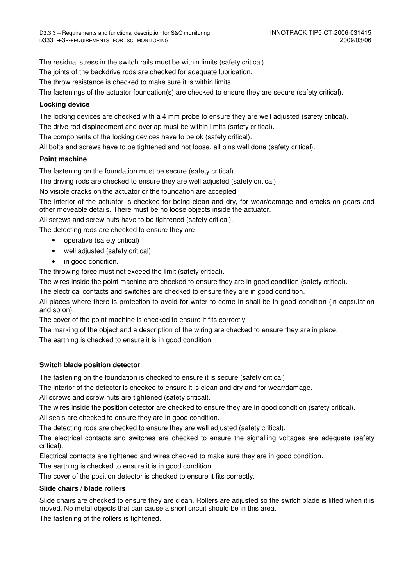The residual stress in the switch rails must be within limits (safety critical).

The joints of the backdrive rods are checked for adequate lubrication.

The throw resistance is checked to make sure it is within limits.

The fastenings of the actuator foundation(s) are checked to ensure they are secure (safety critical).

### **Locking device**

The locking devices are checked with a 4 mm probe to ensure they are well adjusted (safety critical).

The drive rod displacement and overlap must be within limits (safety critical).

The components of the locking devices have to be ok (safety critical).

All bolts and screws have to be tightened and not loose, all pins well done (safety critical).

### **Point machine**

The fastening on the foundation must be secure (safety critical).

The driving rods are checked to ensure they are well adjusted (safety critical).

No visible cracks on the actuator or the foundation are accepted.

The interior of the actuator is checked for being clean and dry, for wear/damage and cracks on gears and other moveable details. There must be no loose objects inside the actuator.

All screws and screw nuts have to be tightened (safety critical).

The detecting rods are checked to ensure they are

- operative (safety critical)
- well adjusted (safety critical)
- in good condition.

The throwing force must not exceed the limit (safety critical).

The wires inside the point machine are checked to ensure they are in good condition (safety critical).

The electrical contacts and switches are checked to ensure they are in good condition.

All places where there is protection to avoid for water to come in shall be in good condition (in capsulation and so on).

The cover of the point machine is checked to ensure it fits correctly.

The marking of the object and a description of the wiring are checked to ensure they are in place.

The earthing is checked to ensure it is in good condition.

### **Switch blade position detector**

The fastening on the foundation is checked to ensure it is secure (safety critical).

The interior of the detector is checked to ensure it is clean and dry and for wear/damage.

All screws and screw nuts are tightened (safety critical).

The wires inside the position detector are checked to ensure they are in good condition (safety critical).

All seals are checked to ensure they are in good condition.

The detecting rods are checked to ensure they are well adjusted (safety critical).

The electrical contacts and switches are checked to ensure the signalling voltages are adequate (safety critical).

Electrical contacts are tightened and wires checked to make sure they are in good condition.

The earthing is checked to ensure it is in good condition.

The cover of the position detector is checked to ensure it fits correctly.

### **Slide chairs / blade rollers**

Slide chairs are checked to ensure they are clean. Rollers are adjusted so the switch blade is lifted when it is moved. No metal objects that can cause a short circuit should be in this area.

The fastening of the rollers is tightened.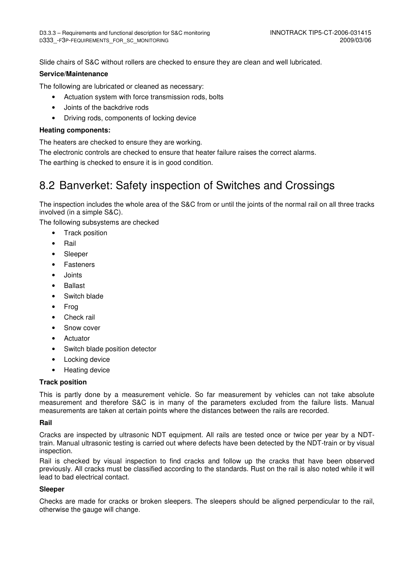Slide chairs of S&C without rollers are checked to ensure they are clean and well lubricated.

### **Service/Maintenance**

The following are lubricated or cleaned as necessary:

- Actuation system with force transmission rods, bolts
- Joints of the backdrive rods
- Driving rods, components of locking device

### **Heating components:**

The heaters are checked to ensure they are working.

The electronic controls are checked to ensure that heater failure raises the correct alarms.

The earthing is checked to ensure it is in good condition.

## 8.2 Banverket: Safety inspection of Switches and Crossings

The inspection includes the whole area of the S&C from or until the joints of the normal rail on all three tracks involved (in a simple S&C).

The following subsystems are checked

- Track position
- Rail
- Sleeper
- Fasteners
- Joints
- Ballast
- Switch blade
- Frog
- Check rail
- Snow cover
- Actuator
- Switch blade position detector
- Locking device
- Heating device

### **Track position**

This is partly done by a measurement vehicle. So far measurement by vehicles can not take absolute measurement and therefore S&C is in many of the parameters excluded from the failure lists. Manual measurements are taken at certain points where the distances between the rails are recorded.

### **Rail**

Cracks are inspected by ultrasonic NDT equipment. All rails are tested once or twice per year by a NDTtrain. Manual ultrasonic testing is carried out where defects have been detected by the NDT-train or by visual inspection.

Rail is checked by visual inspection to find cracks and follow up the cracks that have been observed previously. All cracks must be classified according to the standards. Rust on the rail is also noted while it will lead to bad electrical contact.

### **Sleeper**

Checks are made for cracks or broken sleepers. The sleepers should be aligned perpendicular to the rail, otherwise the gauge will change.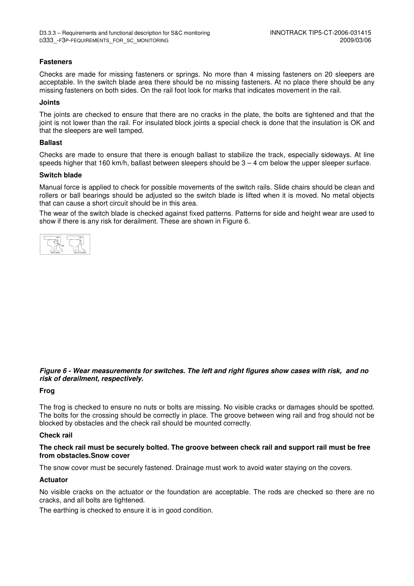#### **Fasteners**

Checks are made for missing fasteners or springs. No more than 4 missing fasteners on 20 sleepers are acceptable. In the switch blade area there should be no missing fasteners. At no place there should be any missing fasteners on both sides. On the rail foot look for marks that indicates movement in the rail.

#### **Joints**

The joints are checked to ensure that there are no cracks in the plate, the bolts are tightened and that the joint is not lower than the rail. For insulated block joints a special check is done that the insulation is OK and that the sleepers are well tamped.

#### **Ballast**

Checks are made to ensure that there is enough ballast to stabilize the track, especially sideways. At line speeds higher that 160 km/h, ballast between sleepers should be  $3 - 4$  cm below the upper sleeper surface.

#### **Switch blade**

Manual force is applied to check for possible movements of the switch rails. Slide chairs should be clean and rollers or ball bearings should be adjusted so the switch blade is lifted when it is moved. No metal objects that can cause a short circuit should be in this area.

The wear of the switch blade is checked against fixed patterns. Patterns for side and height wear are used to show if there is any risk for derailment. These are shown in Figure 6.



### **Figure 6 - Wear measurements for switches. The left and right figures show cases with risk, and no risk of derailment, respectively.**

#### **Frog**

The frog is checked to ensure no nuts or bolts are missing. No visible cracks or damages should be spotted. The bolts for the crossing should be correctly in place. The groove between wing rail and frog should not be blocked by obstacles and the check rail should be mounted correctly.

#### **Check rail**

### **The check rail must be securely bolted. The groove between check rail and support rail must be free from obstacles.Snow cover**

The snow cover must be securely fastened. Drainage must work to avoid water staying on the covers.

#### **Actuator**

No visible cracks on the actuator or the foundation are acceptable. The rods are checked so there are no cracks, and all bolts are tightened.

The earthing is checked to ensure it is in good condition.